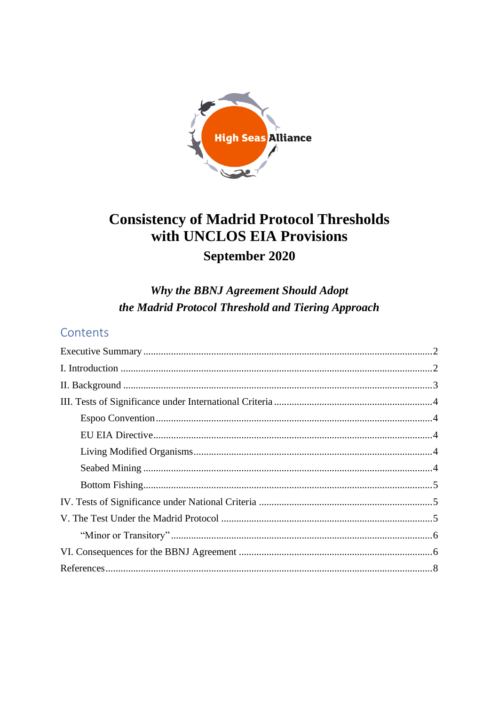

# **Consistency of Madrid Protocol Thresholds** with UNCLOS EIA Provisions September 2020

Why the BBNJ Agreement Should Adopt the Madrid Protocol Threshold and Tiering Approach

# Contents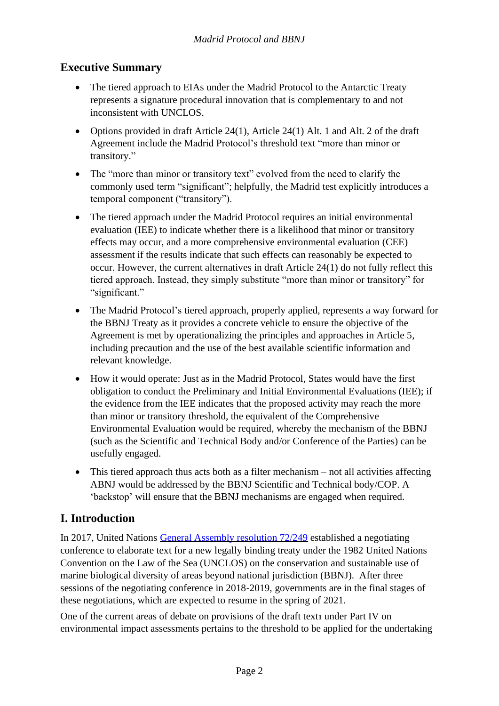### <span id="page-1-0"></span>**Executive Summary**

- The tiered approach to EIAs under the Madrid Protocol to the Antarctic Treaty represents a signature procedural innovation that is complementary to and not inconsistent with UNCLOS.
- Options provided in draft Article 24(1), Article 24(1) Alt. 1 and Alt. 2 of the draft Agreement include the Madrid Protocol's threshold text "more than minor or transitory."
- The "more than minor or transitory text" evolved from the need to clarify the commonly used term "significant"; helpfully, the Madrid test explicitly introduces a temporal component ("transitory").
- The tiered approach under the Madrid Protocol requires an initial environmental evaluation (IEE) to indicate whether there is a likelihood that minor or transitory effects may occur, and a more comprehensive environmental evaluation (CEE) assessment if the results indicate that such effects can reasonably be expected to occur. However, the current alternatives in draft Article 24(1) do not fully reflect this tiered approach. Instead, they simply substitute "more than minor or transitory" for "significant."
- The Madrid Protocol's tiered approach, properly applied, represents a way forward for the BBNJ Treaty as it provides a concrete vehicle to ensure the objective of the Agreement is met by operationalizing the principles and approaches in Article 5, including precaution and the use of the best available scientific information and relevant knowledge.
- How it would operate: Just as in the Madrid Protocol, States would have the first obligation to conduct the Preliminary and Initial Environmental Evaluations (IEE); if the evidence from the IEE indicates that the proposed activity may reach the more than minor or transitory threshold, the equivalent of the Comprehensive Environmental Evaluation would be required, whereby the mechanism of the BBNJ (such as the Scientific and Technical Body and/or Conference of the Parties) can be usefully engaged.
- This tiered approach thus acts both as a filter mechanism not all activities affecting ABNJ would be addressed by the BBNJ Scientific and Technical body/COP. A 'backstop' will ensure that the BBNJ mechanisms are engaged when required.

### <span id="page-1-1"></span>**I. Introduction**

In 2017, United Nations [General Assembly resolution 72/249](https://undocs.org/en/a/res/72/249) established a negotiating conference to elaborate text for a new legally binding treaty under the 1982 United Nations Convention on the Law of the Sea (UNCLOS) on the conservation and sustainable use of marine biological diversity of areas beyond national jurisdiction (BBNJ). After three sessions of the negotiating conference in 2018-2019, governments are in the final stages of these negotiations, which are expected to resume in the spring of 2021.

One of the current areas of debate on provisions of the draft text**<sup>1</sup>** under Part IV on environmental impact assessments pertains to the threshold to be applied for the undertaking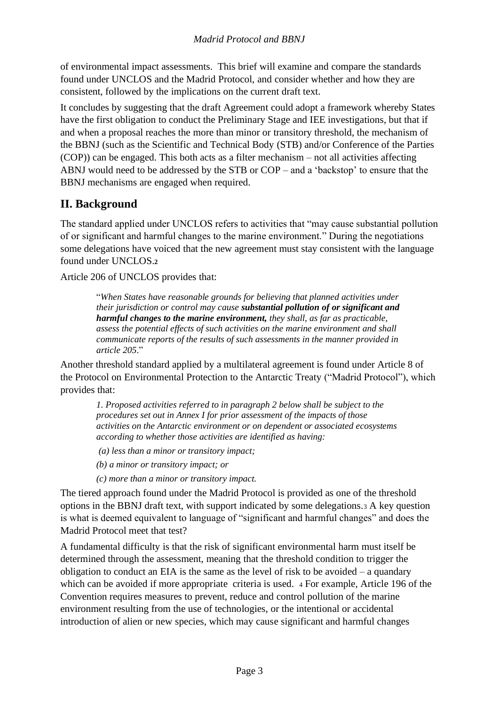of environmental impact assessments. This brief will examine and compare the standards found under UNCLOS and the Madrid Protocol, and consider whether and how they are consistent, followed by the implications on the current draft text.

It concludes by suggesting that the draft Agreement could adopt a framework whereby States have the first obligation to conduct the Preliminary Stage and IEE investigations, but that if and when a proposal reaches the more than minor or transitory threshold, the mechanism of the BBNJ (such as the Scientific and Technical Body (STB) and/or Conference of the Parties (COP)) can be engaged. This both acts as a filter mechanism – not all activities affecting ABNJ would need to be addressed by the STB or COP – and a 'backstop' to ensure that the BBNJ mechanisms are engaged when required.

# <span id="page-2-0"></span>**II. Background**

The standard applied under UNCLOS refers to activities that "may cause substantial pollution of or significant and harmful changes to the marine environment." During the negotiations some delegations have voiced that the new agreement must stay consistent with the language found under UNCLOS.**<sup>2</sup>**

Article 206 of UNCLOS provides that:

"*When States have reasonable grounds for believing that planned activities under their jurisdiction or control may cause substantial pollution of or significant and harmful changes to the marine environment, they shall, as far as practicable, assess the potential effects of such activities on the marine environment and shall communicate reports of the results of such assessments in the manner provided in article 205*."

Another threshold standard applied by a multilateral agreement is found under Article 8 of the Protocol on Environmental Protection to the Antarctic Treaty ("Madrid Protocol"), which provides that:

*1. Proposed activities referred to in paragraph 2 below shall be subject to the procedures set out in Annex I for prior assessment of the impacts of those activities on the Antarctic environment or on dependent or associated ecosystems according to whether those activities are identified as having:* 

- *(a) less than a minor or transitory impact;*
- *(b) a minor or transitory impact; or*
- *(c) more than a minor or transitory impact.*

The tiered approach found under the Madrid Protocol is provided as one of the threshold options in the BBNJ draft text, with support indicated by some delegations.<sup>3</sup> A key question is what is deemed equivalent to language of "significant and harmful changes" and does the Madrid Protocol meet that test?

A fundamental difficulty is that the risk of significant environmental harm must itself be determined through the assessment, meaning that the threshold condition to trigger the obligation to conduct an EIA is the same as the level of risk to be avoided – a quandary which can be avoided if more appropriate criteria is used. <sup>4</sup> For example, Article 196 of the Convention requires measures to prevent, reduce and control pollution of the marine environment resulting from the use of technologies, or the intentional or accidental introduction of alien or new species, which may cause significant and harmful changes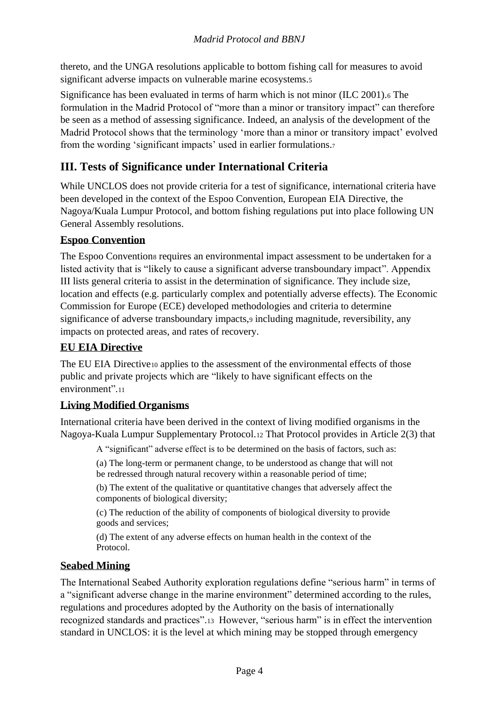thereto, and the UNGA resolutions applicable to bottom fishing call for measures to avoid significant adverse impacts on vulnerable marine ecosystems.<sup>5</sup>

Significance has been evaluated in terms of harm which is not minor (ILC 2001).<sup>6</sup> The formulation in the Madrid Protocol of "more than a minor or transitory impact" can therefore be seen as a method of assessing significance. Indeed, an analysis of the development of the Madrid Protocol shows that the terminology 'more than a minor or transitory impact' evolved from the wording 'significant impacts' used in earlier formulations.<sup>7</sup>

### <span id="page-3-0"></span>**III. Tests of Significance under International Criteria**

While UNCLOS does not provide criteria for a test of significance, international criteria have been developed in the context of the Espoo Convention, European EIA Directive, the Nagoya/Kuala Lumpur Protocol, and bottom fishing regulations put into place following UN General Assembly resolutions.

#### <span id="page-3-1"></span>**Espoo Convention**

The Espoo Conventions requires an environmental impact assessment to be undertaken for a listed activity that is "likely to cause a significant adverse transboundary impact". Appendix III lists general criteria to assist in the determination of significance. They include size, location and effects (e.g. particularly complex and potentially adverse effects). The Economic Commission for Europe (ECE) developed methodologies and criteria to determine significance of adverse transboundary impacts, including magnitude, reversibility, any impacts on protected areas, and rates of recovery.

#### <span id="page-3-2"></span>**EU EIA Directive**

The EU EIA Directive<sup>10</sup> applies to the assessment of the environmental effects of those public and private projects which are "likely to have significant effects on the environment".<sup>11</sup>

### <span id="page-3-3"></span>**Living Modified Organisms**

International criteria have been derived in the context of living modified organisms in the Nagoya-Kuala Lumpur Supplementary Protocol.<sup>12</sup> That Protocol provides in Article 2(3) that

A "significant" adverse effect is to be determined on the basis of factors, such as:

(a) The long-term or permanent change, to be understood as change that will not be redressed through natural recovery within a reasonable period of time;

(b) The extent of the qualitative or quantitative changes that adversely affect the components of biological diversity;

(c) The reduction of the ability of components of biological diversity to provide goods and services;

(d) The extent of any adverse effects on human health in the context of the Protocol.

#### <span id="page-3-4"></span>**Seabed Mining**

The International Seabed Authority exploration regulations define "serious harm" in terms of a "significant adverse change in the marine environment" determined according to the rules, regulations and procedures adopted by the Authority on the basis of internationally recognized standards and practices".13 However, "serious harm" is in effect the intervention standard in UNCLOS: it is the level at which mining may be stopped through emergency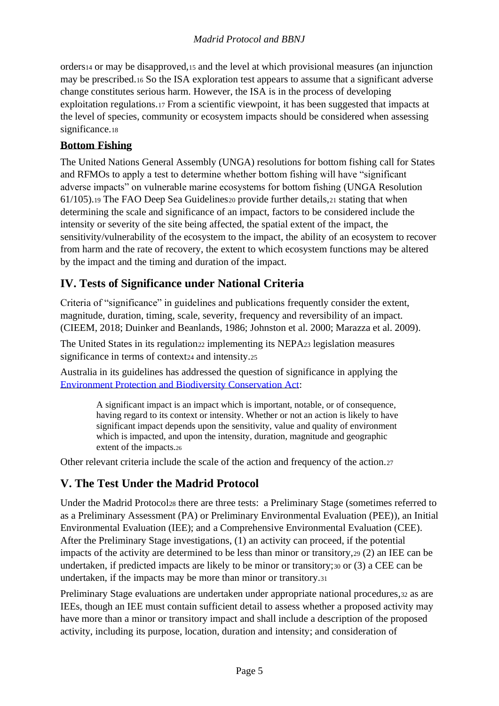orders<sup>14</sup> or may be disapproved,<sup>15</sup> and the level at which provisional measures (an injunction may be prescribed.<sup>16</sup> So the ISA exploration test appears to assume that a significant adverse change constitutes serious harm. However, the ISA is in the process of developing exploitation regulations.<sup>17</sup> From a scientific viewpoint, it has been suggested that impacts at the level of species, community or ecosystem impacts should be considered when assessing significance.18

#### <span id="page-4-0"></span>**Bottom Fishing**

The United Nations General Assembly (UNGA) resolutions for bottom fishing call for States and RFMOs to apply a test to determine whether bottom fishing will have "significant adverse impacts" on vulnerable marine ecosystems for bottom fishing (UNGA Resolution 61/105).<sup>19</sup> The FAO Deep Sea Guidelines<sup>20</sup> provide further details,<sup>21</sup> stating that when determining the scale and significance of an impact, factors to be considered include the intensity or severity of the site being affected, the spatial extent of the impact, the sensitivity/vulnerability of the ecosystem to the impact, the ability of an ecosystem to recover from harm and the rate of recovery, the extent to which ecosystem functions may be altered by the impact and the timing and duration of the impact.

# <span id="page-4-1"></span>**IV. Tests of Significance under National Criteria**

Criteria of "significance" in guidelines and publications frequently consider the extent, magnitude, duration, timing, scale, severity, frequency and reversibility of an impact. (CIEEM, 2018; Duinker and Beanlands, 1986; Johnston et al. 2000; Marazza et al. 2009).

The United States in its regulation<sub>22</sub> implementing its NEPA<sub>23</sub> legislation measures significance in terms of context<sub>24</sub> and intensity.<sub>25</sub>

Australia in its guidelines has addressed the question of significance in applying the [Environment Protection and Biodiversity Conservation Act:](https://www.legislation.gov.au/Series/C2004A00485)

> A significant impact is an impact which is important, notable, or of consequence, having regard to its context or intensity. Whether or not an action is likely to have significant impact depends upon the sensitivity, value and quality of environment which is impacted, and upon the intensity, duration, magnitude and geographic extent of the impacts.<sup>26</sup>

Other relevant criteria include the scale of the action and frequency of the action.<sup>27</sup>

### <span id="page-4-2"></span>**V. The Test Under the Madrid Protocol**

Under the Madrid Protocol<sup>28</sup> there are three tests: a Preliminary Stage (sometimes referred to as a Preliminary Assessment (PA) or Preliminary Environmental Evaluation (PEE)), an Initial Environmental Evaluation (IEE); and a Comprehensive Environmental Evaluation (CEE). After the Preliminary Stage investigations, (1) an activity can proceed, if the potential impacts of the activity are determined to be less than minor or transitory,<sup>29</sup> (2) an IEE can be undertaken, if predicted impacts are likely to be minor or transitory;<sup>30</sup> or (3) a CEE can be undertaken, if the impacts may be more than minor or transitory.<sup>31</sup>

Preliminary Stage evaluations are undertaken under appropriate national procedures,<sup>32</sup> as are IEEs, though an IEE must contain sufficient detail to assess whether a proposed activity may have more than a minor or transitory impact and shall include a description of the proposed activity, including its purpose, location, duration and intensity; and consideration of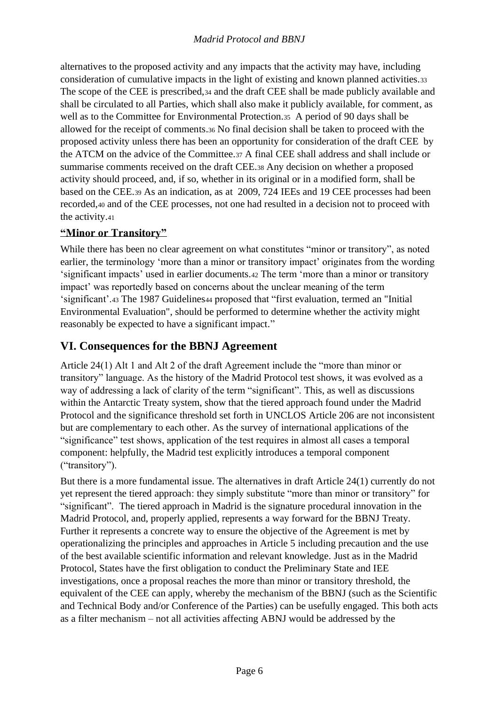alternatives to the proposed activity and any impacts that the activity may have, including consideration of cumulative impacts in the light of existing and known planned activities.<sup>33</sup> The scope of the CEE is prescribed,<sup>34</sup> and the draft CEE shall be made publicly available and shall be circulated to all Parties, which shall also make it publicly available, for comment, as well as to the Committee for Environmental Protection.<sup>35</sup> A period of 90 days shall be allowed for the receipt of comments.<sup>36</sup> No final decision shall be taken to proceed with the proposed activity unless there has been an opportunity for consideration of the draft CEE by the ATCM on the advice of the Committee.<sup>37</sup> A final CEE shall address and shall include or summarise comments received on the draft CEE.<sup>38</sup> Any decision on whether a proposed activity should proceed, and, if so, whether in its original or in a modified form, shall be based on the CEE.<sup>39</sup> As an indication, as at 2009, 724 IEEs and 19 CEE processes had been recorded,<sup>40</sup> and of the CEE processes, not one had resulted in a decision not to proceed with the activity.<sup>41</sup>

### <span id="page-5-0"></span>**"Minor or Transitory"**

While there has been no clear agreement on what constitutes "minor or transitory", as noted earlier, the terminology 'more than a minor or transitory impact' originates from the wording 'significant impacts' used in earlier documents.<sup>42</sup> The term 'more than a minor or transitory impact' was reportedly based on concerns about the unclear meaning of the term 'significant'.<sup>43</sup> The 1987 Guidelines<sup>44</sup> proposed that "first evaluation, termed an "Initial Environmental Evaluation", should be performed to determine whether the activity might reasonably be expected to have a significant impact."

### <span id="page-5-1"></span>**VI. Consequences for the BBNJ Agreement**

Article 24(1) Alt 1 and Alt 2 of the draft Agreement include the "more than minor or transitory" language. As the history of the Madrid Protocol test shows, it was evolved as a way of addressing a lack of clarity of the term "significant". This, as well as discussions within the Antarctic Treaty system, show that the tiered approach found under the Madrid Protocol and the significance threshold set forth in UNCLOS Article 206 are not inconsistent but are complementary to each other. As the survey of international applications of the "significance" test shows, application of the test requires in almost all cases a temporal component: helpfully, the Madrid test explicitly introduces a temporal component ("transitory").

But there is a more fundamental issue. The alternatives in draft Article 24(1) currently do not yet represent the tiered approach: they simply substitute "more than minor or transitory" for "significant". The tiered approach in Madrid is the signature procedural innovation in the Madrid Protocol, and, properly applied, represents a way forward for the BBNJ Treaty. Further it represents a concrete way to ensure the objective of the Agreement is met by operationalizing the principles and approaches in Article 5 including precaution and the use of the best available scientific information and relevant knowledge. Just as in the Madrid Protocol, States have the first obligation to conduct the Preliminary State and IEE investigations, once a proposal reaches the more than minor or transitory threshold, the equivalent of the CEE can apply, whereby the mechanism of the BBNJ (such as the Scientific and Technical Body and/or Conference of the Parties) can be usefully engaged. This both acts as a filter mechanism – not all activities affecting ABNJ would be addressed by the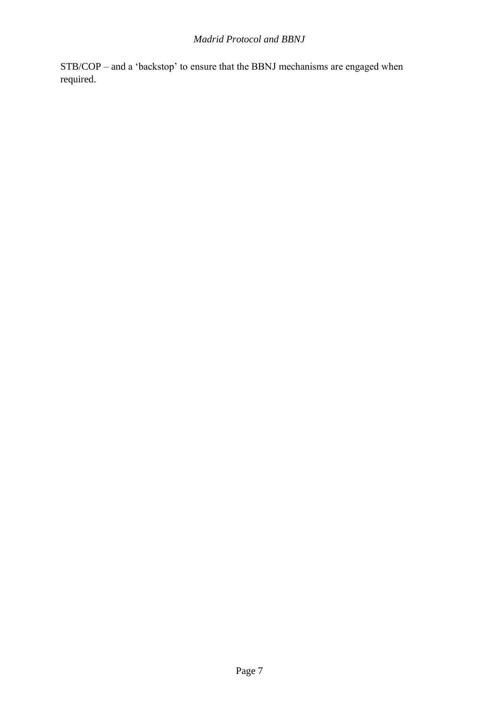STB/COP – and a 'backstop' to ensure that the BBNJ mechanisms are engaged when required.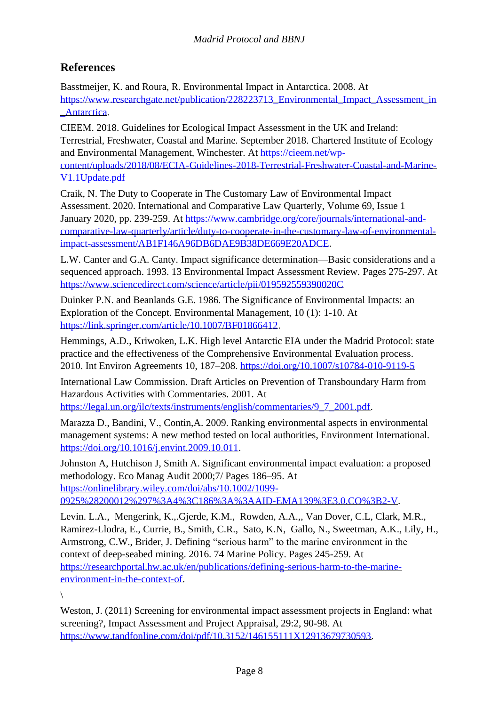### <span id="page-7-0"></span>**References**

Basstmeijer, K. and Roura, R. Environmental Impact in Antarctica. 2008. At [https://www.researchgate.net/publication/228223713\\_Environmental\\_Impact\\_Assessment\\_in](https://www.researchgate.net/publication/228223713_Environmental_Impact_Assessment_in_Antarctica) [\\_Antarctica.](https://www.researchgate.net/publication/228223713_Environmental_Impact_Assessment_in_Antarctica)

CIEEM. 2018. Guidelines for Ecological Impact Assessment in the UK and Ireland: Terrestrial, Freshwater, Coastal and Marine*.* September 2018. Chartered Institute of Ecology and Environmental Management, Winchester. At [https://cieem.net/wp](https://cieem.net/wp-content/uploads/2018/08/ECIA-Guidelines-2018-Terrestrial-Freshwater-Coastal-and-Marine-V1.1Update.pdf)[content/uploads/2018/08/ECIA-Guidelines-2018-Terrestrial-Freshwater-Coastal-and-Marine-](https://cieem.net/wp-content/uploads/2018/08/ECIA-Guidelines-2018-Terrestrial-Freshwater-Coastal-and-Marine-V1.1Update.pdf)[V1.1Update.pdf](https://cieem.net/wp-content/uploads/2018/08/ECIA-Guidelines-2018-Terrestrial-Freshwater-Coastal-and-Marine-V1.1Update.pdf)

Craik, N. The Duty to Cooperate in The Customary Law of Environmental Impact Assessment. 2020. International and Comparative Law Quarterly, Volume 69, Issue 1 January 2020, pp. 239-259. At [https://www.cambridge.org/core/journals/international-and](https://www.cambridge.org/core/journals/international-and-comparative-law-quarterly/article/duty-to-cooperate-in-the-customary-law-of-environmental-impact-assessment/AB1F146A96DB6DAE9B38DE669E20ADCE)[comparative-law-quarterly/article/duty-to-cooperate-in-the-customary-law-of-environmental](https://www.cambridge.org/core/journals/international-and-comparative-law-quarterly/article/duty-to-cooperate-in-the-customary-law-of-environmental-impact-assessment/AB1F146A96DB6DAE9B38DE669E20ADCE)[impact-assessment/AB1F146A96DB6DAE9B38DE669E20ADCE.](https://www.cambridge.org/core/journals/international-and-comparative-law-quarterly/article/duty-to-cooperate-in-the-customary-law-of-environmental-impact-assessment/AB1F146A96DB6DAE9B38DE669E20ADCE)

L.W. Canter and G.A. Canty. Impact significance determination—Basic considerations and a sequenced approach. 1993. 13 Environmental Impact Assessment Review. Pages 275-297. At <https://www.sciencedirect.com/science/article/pii/019592559390020C>

Duinker P.N. and Beanlands G.E. 1986. The Significance of Environmental Impacts: an Exploration of the Concept. Environmental Management, 10 (1): 1-10. At [https://link.springer.com/article/10.1007/BF01866412.](https://link.springer.com/article/10.1007/BF01866412)

Hemmings, A.D., Kriwoken, L.K. High level Antarctic EIA under the Madrid Protocol: state practice and the effectiveness of the Comprehensive Environmental Evaluation process. 2010. Int Environ Agreements 10, 187–208.<https://doi.org/10.1007/s10784-010-9119-5>

International Law Commission. Draft Articles on Prevention of Transboundary Harm from Hazardous Activities with Commentaries. 2001. At [https://legal.un.org/ilc/texts/instruments/english/commentaries/9\\_7\\_2001.pdf.](https://legal.un.org/ilc/texts/instruments/english/commentaries/9_7_2001.pdf)

Marazza D., Bandini, V., Contin,A. 2009. Ranking environmental aspects in environmental management systems: A new method tested on local authorities, Environment International. [https://doi.org/10.1016/j.envint.2009.10.011.](https://doi.org/10.1016/j.envint.2009.10.011)

Johnston A, Hutchison J, Smith A. Significant environmental impact evaluation: a proposed methodology. Eco Manag Audit 2000;7/ Pages 186–95. At [https://onlinelibrary.wiley.com/doi/abs/10.1002/1099-](https://onlinelibrary.wiley.com/doi/abs/10.1002/1099-0925%28200012%297%3A4%3C186%3A%3AAID-EMA139%3E3.0.CO%3B2-V) [0925%28200012%297%3A4%3C186%3A%3AAID-EMA139%3E3.0.CO%3B2-V.](https://onlinelibrary.wiley.com/doi/abs/10.1002/1099-0925%28200012%297%3A4%3C186%3A%3AAID-EMA139%3E3.0.CO%3B2-V)

Levin. L.A., Mengerink, K.,.Gjerde, K.M., Rowden, A.A.,, Van Dover, C.L, Clark, M.R., Ramirez-Llodra, E., Currie, B., Smith, C.R., Sato, K.N, Gallo, N., Sweetman, A.K., Lily, H., Armstrong, C.W., Brider, J. Defining "serious harm" to the marine environment in the context of deep-seabed mining. 2016. 74 Marine Policy. Pages 245-259. At [https://researchportal.hw.ac.uk/en/publications/defining-serious-harm-to-the-marine](https://researchportal.hw.ac.uk/en/publications/defining-serious-harm-to-the-marine-environment-in-the-context-of)[environment-in-the-context-of.](https://researchportal.hw.ac.uk/en/publications/defining-serious-harm-to-the-marine-environment-in-the-context-of)

\

Weston, J. (2011) Screening for environmental impact assessment projects in England: what screening?, Impact Assessment and Project Appraisal, 29:2, 90-98. At [https://www.tandfonline.com/doi/pdf/10.3152/146155111X12913679730593.](https://www.tandfonline.com/doi/pdf/10.3152/146155111X12913679730593)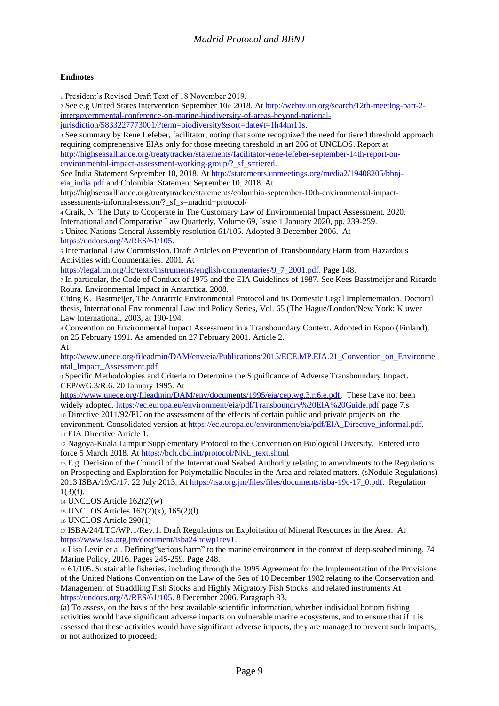#### **Endnotes**

<sup>1</sup> President's Revised Draft Text of 18 November 2019.

<sup>2</sup> See e.g United States intervention September 10th 2018. A[t http://webtv.un.org/search/12th-meeting-part-2](http://webtv.un.org/search/12th-meeting-part-2-intergovernmental-conference-on-marine-biodiversity-of-areas-beyond-national-jurisdiction/5833227773001/?term=biodiversity&sort=date#t=1h44m11s) [intergovernmental-conference-on-marine-biodiversity-of-areas-beyond-national](http://webtv.un.org/search/12th-meeting-part-2-intergovernmental-conference-on-marine-biodiversity-of-areas-beyond-national-jurisdiction/5833227773001/?term=biodiversity&sort=date#t=1h44m11s)[jurisdiction/5833227773001/?term=biodiversity&sort=date#t=1h44m11s.](http://webtv.un.org/search/12th-meeting-part-2-intergovernmental-conference-on-marine-biodiversity-of-areas-beyond-national-jurisdiction/5833227773001/?term=biodiversity&sort=date#t=1h44m11s)

<sup>3</sup> See summary by Rene Lefeber, facilitator, noting that some recognized the need for tiered threshold approach requiring comprehensive EIAs only for those meeting threshold in art 206 of UNCLOS. Report at [http://highseasalliance.org/treatytracker/statements/facilitator-rene-lefeber-september-14th-report-on](http://highseasalliance.org/treatytracker/statements/facilitator-rene-lefeber-september-14th-report-on-environmental-impact-assessment-working-group/?_sf_s=tiered)environmental-impact-assessment-working-group/? sf\_s=tiered.

See India Statement September 10, 2018. At [http://statements.unmeetings.org/media2/19408205/bbnj](http://statements.unmeetings.org/media2/19408205/bbnj-eia_india.pdf)[eia\\_india.pdf](http://statements.unmeetings.org/media2/19408205/bbnj-eia_india.pdf) and Colombia Statement September 10, 2018. At

http://highseasalliance.org/treatytracker/statements/colombia-september-10th-environmental-impactassessments-informal-session/?\_sf\_s=madrid+protocol/

<sup>4</sup> Craik, N. The Duty to Cooperate in The Customary Law of Environmental Impact Assessment. 2020. International and Comparative Law Quarterly, Volume 69, Issue 1 January 2020, pp. 239-259. <sup>5</sup> United Nations General Assembly resolution 61/105. Adopted 8 December 2006. At

[https://undocs.org/A/RES/61/105.](https://undocs.org/A/RES/61/105)

<sup>6</sup> International Law Commission. Draft Articles on Prevention of Transboundary Harm from Hazardous Activities with Commentaries. 2001. At

[https://legal.un.org/ilc/texts/instruments/english/commentaries/9\\_7\\_2001.pdf.](https://legal.un.org/ilc/texts/instruments/english/commentaries/9_7_2001.pdf) Page 148.

<sup>7</sup> In particular, the Code of Conduct of 1975 and the EIA Guidelines of 1987. See Kees Basstmeijer and Ricardo Roura. Environmental Impact in Antarctica. 2008.

Citing K. Bastmeijer, The Antarctic Environmental Protocol and its Domestic Legal Implementation. Doctoral thesis, International Environmental Law and Policy Series, Vol. 65 (The Hague/London/New York: Kluwer Law International, 2003, at 190-194.

<sup>8</sup> Convention on Environmental Impact Assessment in a Transboundary Context. Adopted in Espoo (Finland), on 25 February 1991. As amended on 27 February 2001. Article 2. At

[http://www.unece.org/fileadmin/DAM/env/eia/Publications/2015/ECE.MP.EIA.21\\_Convention\\_on\\_Environme](http://www.unece.org/fileadmin/DAM/env/eia/Publications/2015/ECE.MP.EIA.21_Convention_on_Environmental_Impact_Assessment.pdf) [ntal\\_Impact\\_Assessment.pdf](http://www.unece.org/fileadmin/DAM/env/eia/Publications/2015/ECE.MP.EIA.21_Convention_on_Environmental_Impact_Assessment.pdf)

<sup>9</sup> Specific Methodologies and Criteria to Determine the Significance of Adverse Transboundary Impact. CEP/WG.3/R.6. 20 January 1995. At

[https://www.unece.org/fileadmin/DAM/env/documents/1995/eia/cep.wg.3.r.6.e.pdf.](https://www.unece.org/fileadmin/DAM/env/documents/1995/eia/cep.wg.3.r.6.e.pdf) These have not been widely adopted.<https://ec.europa.eu/environment/eia/pdf/Transboundry%20EIA%20Guide.pdf> page 7.s

<sup>10</sup> Directive 2011/92/EU on the assessment of the effects of certain public and private projects on the environment. Consolidated version at https://ec.europa.eu/environment/eia/pdf/EIA\_Directive\_informal.pdf. <sup>11</sup> EIA Directive Article 1.

<sup>12</sup> Nagoya-Kuala Lumpur Supplementary Protocol to the Convention on Biological Diversity. Entered into force 5 March 2018. A[t https://bch.cbd.int/protocol/NKL\\_text.shtml](https://bch.cbd.int/protocol/NKL_text.shtml)

<sup>13</sup> E.g. Decision of the Council of the International Seabed Authority relating to amendments to the Regulations on Prospecting and Exploration for Polymetallic Nodules in the Area and related matters. (sNodule Regulations) 2013 ISBA/19/C/17. 22 July 2013. A[t https://isa.org.jm/files/files/documents/isba-19c-17\\_0.pdf.](https://isa.org.jm/files/files/documents/isba-19c-17_0.pdf) Regulation  $1(3)(f)$ .

<sup>14</sup> UNCLOS Article 162(2)(w)

<sup>15</sup> UNCLOS Articles 162(2)(x), 165(2)(l)

<sup>16</sup> UNCLOS Article 290(1)

<sup>17</sup> ISBA/24/LTC/WP.1/Rev.1. Draft Regulations on Exploitation of Mineral Resources in the Area. At [https://www.isa.org.jm/document/isba24ltcwp1rev1.](https://www.isa.org.jm/document/isba24ltcwp1rev1)

<sup>18</sup> Lisa Levin et al. Defining"serious harm" to the marine environment in the context of deep-seabed mining. 74 Marine Policy, 2016. Pages 245-259. Page 248.

<sup>19</sup> 61/105. Sustainable fisheries, including through the 1995 Agreement for the Implementation of the Provisions of the United Nations Convention on the Law of the Sea of 10 December 1982 relating to the Conservation and Management of Straddling Fish Stocks and Highly Migratory Fish Stocks, and related instruments At [https://undocs.org/A/RES/61/105.](https://undocs.org/A/RES/61/105) 8 December 2006. Paragraph 83.

(a) To assess, on the basis of the best available scientific information, whether individual bottom fishing activities would have significant adverse impacts on vulnerable marine ecosystems, and to ensure that if it is assessed that these activities would have significant adverse impacts, they are managed to prevent such impacts, or not authorized to proceed;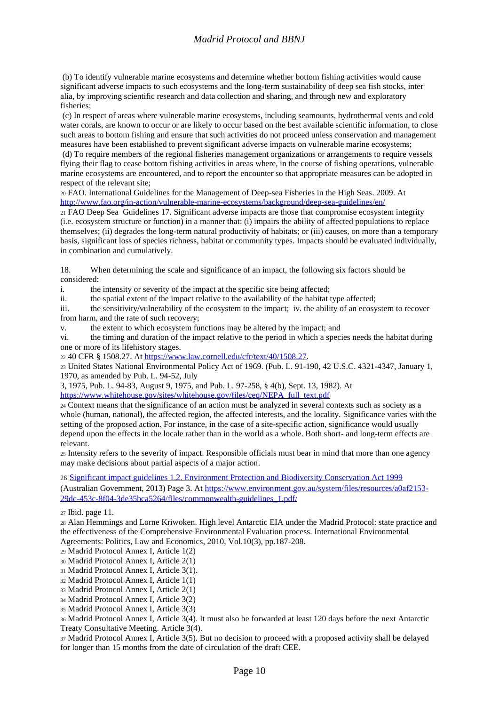#### *Madrid Protocol and BBNJ*

(b) To identify vulnerable marine ecosystems and determine whether bottom fishing activities would cause significant adverse impacts to such ecosystems and the long-term sustainability of deep sea fish stocks, inter alia, by improving scientific research and data collection and sharing, and through new and exploratory fisheries;

(c) In respect of areas where vulnerable marine ecosystems, including seamounts, hydrothermal vents and cold water corals, are known to occur or are likely to occur based on the best available scientific information, to close such areas to bottom fishing and ensure that such activities do not proceed unless conservation and management measures have been established to prevent significant adverse impacts on vulnerable marine ecosystems;

(d) To require members of the regional fisheries management organizations or arrangements to require vessels flying their flag to cease bottom fishing activities in areas where, in the course of fishing operations, vulnerable marine ecosystems are encountered, and to report the encounter so that appropriate measures can be adopted in respect of the relevant site;

<sup>20</sup> FAO. International Guidelines for the Management of Deep-sea Fisheries in the High Seas. 2009. At <http://www.fao.org/in-action/vulnerable-marine-ecosystems/background/deep-sea-guidelines/en/>

<sup>21</sup> FAO Deep Sea Guidelines 17. Significant adverse impacts are those that compromise ecosystem integrity (i.e. ecosystem structure or function) in a manner that: (i) impairs the ability of affected populations to replace themselves; (ii) degrades the long-term natural productivity of habitats; or (iii) causes, on more than a temporary basis, significant loss of species richness, habitat or community types. Impacts should be evaluated individually, in combination and cumulatively.

18. When determining the scale and significance of an impact, the following six factors should be considered:

i. the intensity or severity of the impact at the specific site being affected;

ii. the spatial extent of the impact relative to the availability of the habitat type affected;

iii. the sensitivity/vulnerability of the ecosystem to the impact; iv. the ability of an ecosystem to recover from harm, and the rate of such recovery;

v. the extent to which ecosystem functions may be altered by the impact; and

vi. the timing and duration of the impact relative to the period in which a species needs the habitat during one or more of its lifehistory stages.

<sup>22</sup> 40 CFR § 1508.27. A[t https://www.law.cornell.edu/cfr/text/40/1508.27.](https://www.law.cornell.edu/cfr/text/40/1508.27)

<sup>23</sup> United States National Environmental Policy Act of 1969. (Pub. L. 91-190, 42 U.S.C. 4321-4347, January 1, 1970, as amended by Pub. L. 94-52, July

3, 1975, Pub. L. 94-83, August 9, 1975, and Pub. L. 97-258, § 4(b), Sept. 13, 1982). At

[https://www.whitehouse.gov/sites/whitehouse.gov/files/ceq/NEPA\\_full\\_text.pdf](https://www.whitehouse.gov/sites/whitehouse.gov/files/ceq/NEPA_full_text.pdf)

<sup>24</sup> Context means that the significance of an action must be analyzed in several contexts such as society as a whole (human, national), the affected region, the affected interests, and the locality. Significance varies with the setting of the proposed action. For instance, in the case of a site-specific action, significance would usually depend upon the effects in the locale rather than in the world as a whole. Both short- and long-term effects are relevant.

<sup>25</sup> Intensity refers to the severity of impact. Responsible officials must bear in mind that more than one agency may make decisions about partial aspects of a major action.

26 [Significant impact guidelines 1.2. Environment Protection and Biodiversity Conservation Act 1999](https://www.environment.gov.au/system/files/resources/a0af2153-29dc-453c-8f04-3de35bca5264/files/commonwealth-guidelines_1.pdf) (Australian Government, 2013) Page 3. At [https://www.environment.gov.au/system/files/resources/a0af2153-](https://www.environment.gov.au/system/files/resources/a0af2153-29dc-453c-8f04-3de35bca5264/files/commonwealth-guidelines_1.pdf/) [29dc-453c-8f04-3de35bca5264/files/commonwealth-guidelines\\_1.pdf/](https://www.environment.gov.au/system/files/resources/a0af2153-29dc-453c-8f04-3de35bca5264/files/commonwealth-guidelines_1.pdf/)

<sup>27</sup> Ibid. page 11.

<sup>28</sup> Alan Hemmings and Lorne Kriwoken. High level Antarctic EIA under the Madrid Protocol: state practice and the effectiveness of the Comprehensive Environmental Evaluation process. International Environmental Agreements: Politics, Law and Economics, 2010, Vol.10(3), pp.187-208.

<sup>29</sup> Madrid Protocol Annex I, Article 1(2)

- <sup>30</sup> Madrid Protocol Annex I, Article 2(1)
- <sup>31</sup> Madrid Protocol Annex I, Article 3(1).
- <sup>32</sup> Madrid Protocol Annex I, Article 1(1)
- <sup>33</sup> Madrid Protocol Annex I, Article 2(1)
- <sup>34</sup> Madrid Protocol Annex I, Article 3(2)
- <sup>35</sup> Madrid Protocol Annex I, Article 3(3)

<sup>36</sup> Madrid Protocol Annex I, Article 3(4). It must also be forwarded at least 120 days before the next Antarctic Treaty Consultative Meeting. Article 3(4).

<sup>37</sup> Madrid Protocol Annex I, Article 3(5). But no decision to proceed with a proposed activity shall be delayed for longer than 15 months from the date of circulation of the draft CEE.